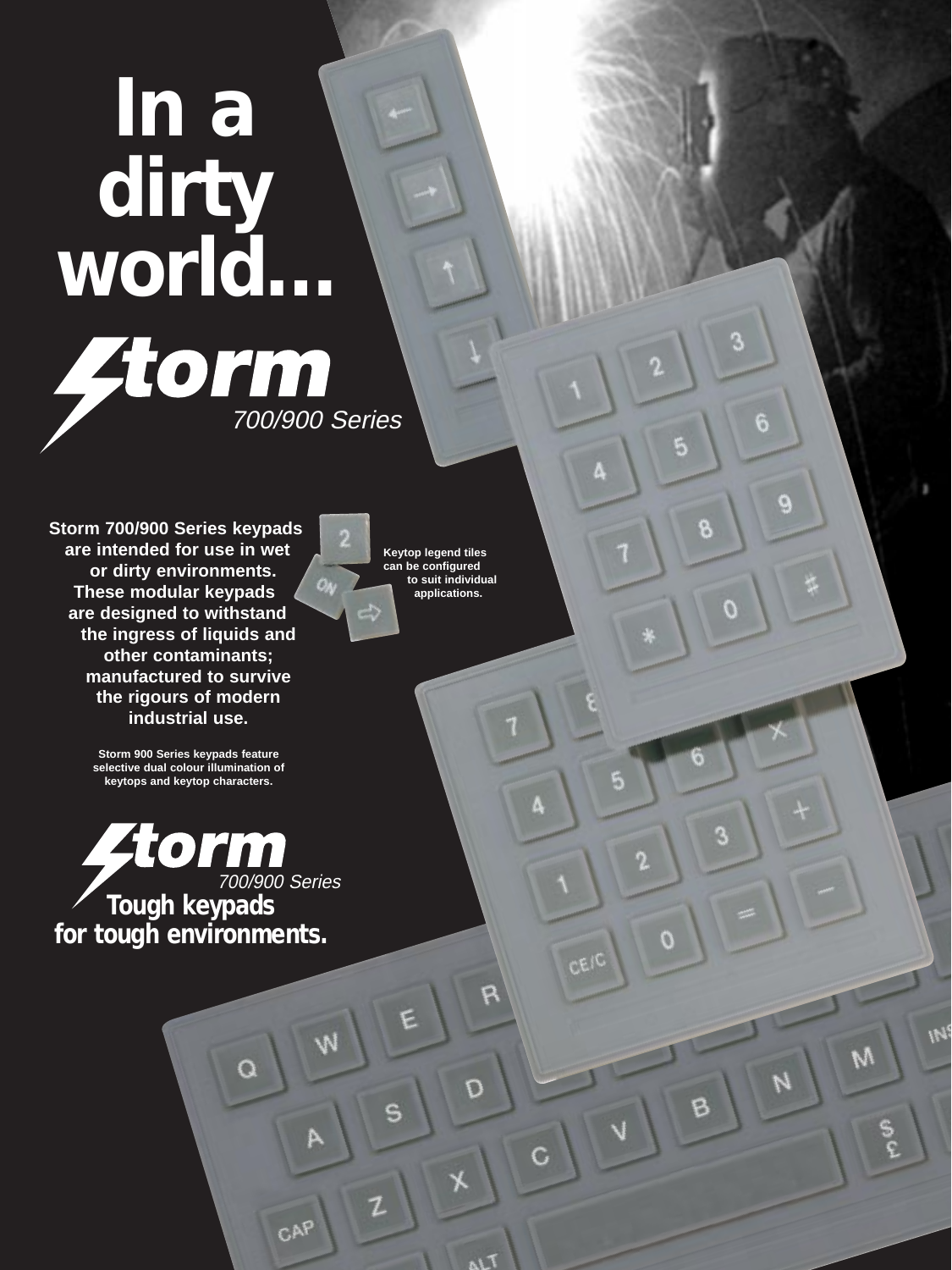## **In a dirty world… 700/900 Series**

**Storm 700/900 Series keypads are intended for use in wet or dirty environments. These modular keypads are designed to withstand the ingress of liquids and other contaminants; manufactured to survive the rigours of modern industrial use.**

> **Storm 900 Series keypads feature selective dual colour illumination of keytops and keytop characters.**

700/900 Series **Tough keypads for tough environments.**

**Keytop legend tiles can be configured to suit individual applications.**

ON

6

O

M

5

E

CEIC

0

F

۵

C

c

 $\overline{\Omega}$ 

۴

S

Z

W

CAP

Ω

B

0